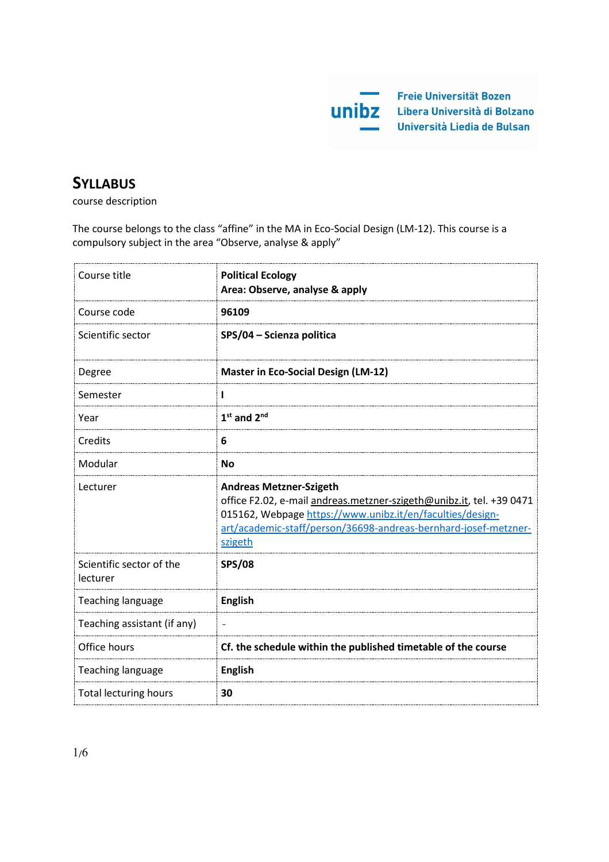

# **SYLLABUS**

course description

The course belongs to the class "affine" in the MA in Eco-Social Design (LM-12). This course is a compulsory subject in the area "Observe, analyse & apply"

| Course title                         | <b>Political Ecology</b><br>Area: Observe, analyse & apply                                                                                                                                                                                        |
|--------------------------------------|---------------------------------------------------------------------------------------------------------------------------------------------------------------------------------------------------------------------------------------------------|
| Course code                          | 96109                                                                                                                                                                                                                                             |
| Scientific sector                    | SPS/04 - Scienza politica                                                                                                                                                                                                                         |
| Degree                               | <b>Master in Eco-Social Design (LM-12)</b>                                                                                                                                                                                                        |
| Semester                             | L                                                                                                                                                                                                                                                 |
| Year                                 | $1st$ and $2nd$                                                                                                                                                                                                                                   |
| Credits                              | 6                                                                                                                                                                                                                                                 |
| Modular                              | <b>No</b>                                                                                                                                                                                                                                         |
| Lecturer                             | <b>Andreas Metzner-Szigeth</b><br>office F2.02, e-mail andreas.metzner-szigeth@unibz.it, tel. +39 0471<br>015162, Webpage https://www.unibz.it/en/faculties/design-<br>art/academic-staff/person/36698-andreas-bernhard-josef-metzner-<br>szigeth |
| Scientific sector of the<br>lecturer | <b>SPS/08</b>                                                                                                                                                                                                                                     |
| <b>Teaching language</b>             | <b>English</b>                                                                                                                                                                                                                                    |
| Teaching assistant (if any)          |                                                                                                                                                                                                                                                   |
| Office hours                         | Cf. the schedule within the published timetable of the course                                                                                                                                                                                     |
| <b>Teaching language</b>             | <b>English</b>                                                                                                                                                                                                                                    |
| <b>Total lecturing hours</b>         | 30                                                                                                                                                                                                                                                |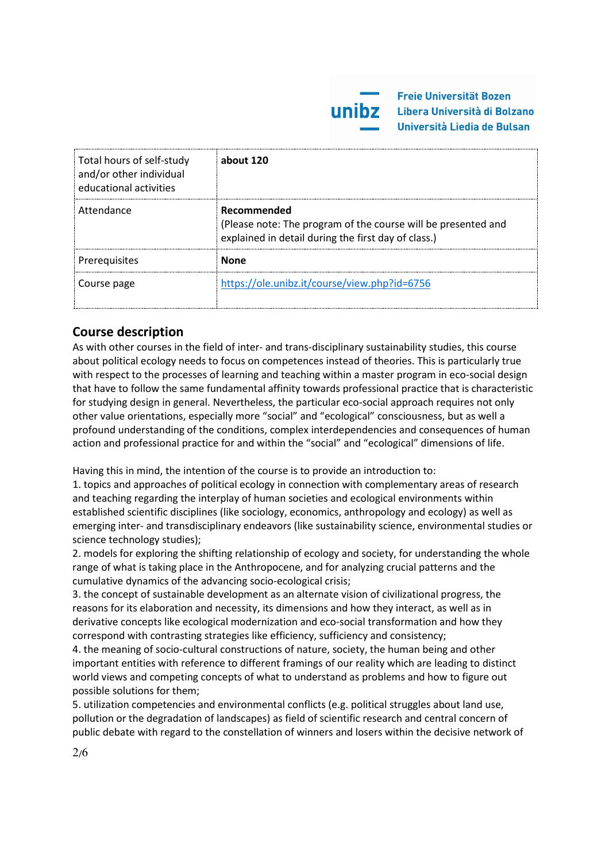| Total hours of self-study<br>and/or other individual<br>educational activities | about 120                                                                                                                           |
|--------------------------------------------------------------------------------|-------------------------------------------------------------------------------------------------------------------------------------|
| Attendance                                                                     | Recommended<br>(Please note: The program of the course will be presented and<br>explained in detail during the first day of class.) |
| Prerequisites                                                                  | <b>None</b>                                                                                                                         |
| Course page                                                                    | https://ole.unibz.it/course/view.php?id=6756                                                                                        |

# **Course description**

As with other courses in the field of inter- and trans-disciplinary sustainability studies, this course about political ecology needs to focus on competences instead of theories. This is particularly true with respect to the processes of learning and teaching within a master program in eco-social design that have to follow the same fundamental affinity towards professional practice that is characteristic for studying design in general. Nevertheless, the particular eco-social approach requires not only other value orientations, especially more "social" and "ecological" consciousness, but as well a profound understanding of the conditions, complex interdependencies and consequences of human action and professional practice for and within the "social" and "ecological" dimensions of life.

Having this in mind, the intention of the course is to provide an introduction to:

1. topics and approaches of political ecology in connection with complementary areas of research and teaching regarding the interplay of human societies and ecological environments within established scientific disciplines (like sociology, economics, anthropology and ecology) as well as emerging inter- and transdisciplinary endeavors (like sustainability science, environmental studies or science technology studies);

2. models for exploring the shifting relationship of ecology and society, for understanding the whole range of what is taking place in the Anthropocene, and for analyzing crucial patterns and the cumulative dynamics of the advancing socio-ecological crisis;

3. the concept of sustainable development as an alternate vision of civilizational progress, the reasons for its elaboration and necessity, its dimensions and how they interact, as well as in derivative concepts like ecological modernization and eco-social transformation and how they correspond with contrasting strategies like efficiency, sufficiency and consistency;

4. the meaning of socio-cultural constructions of nature, society, the human being and other important entities with reference to different framings of our reality which are leading to distinct world views and competing concepts of what to understand as problems and how to figure out possible solutions for them;

5. utilization competencies and environmental conflicts (e.g. political struggles about land use, pollution or the degradation of landscapes) as field of scientific research and central concern of public debate with regard to the constellation of winners and losers within the decisive network of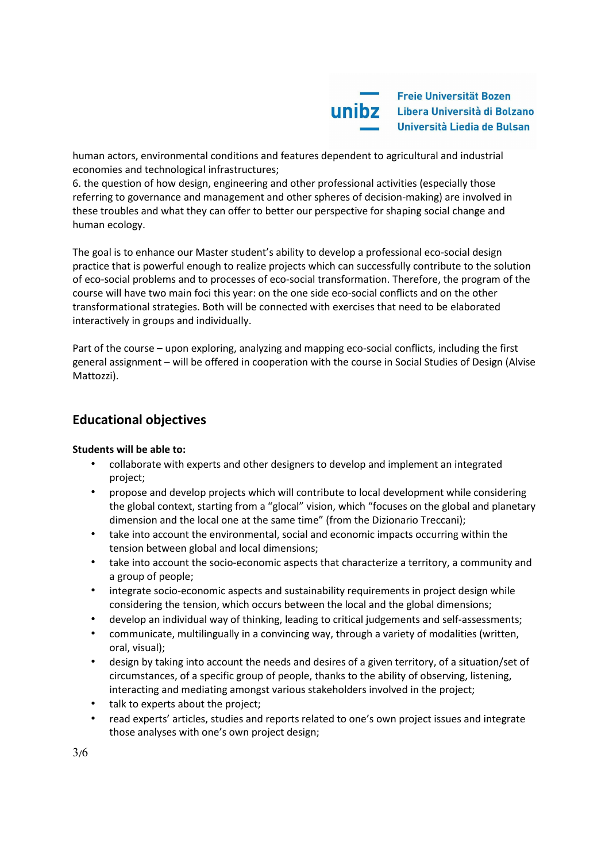

human actors, environmental conditions and features dependent to agricultural and industrial economies and technological infrastructures;

6. the question of how design, engineering and other professional activities (especially those referring to governance and management and other spheres of decision-making) are involved in these troubles and what they can offer to better our perspective for shaping social change and human ecology.

The goal is to enhance our Master student's ability to develop a professional eco-social design practice that is powerful enough to realize projects which can successfully contribute to the solution of eco-social problems and to processes of eco-social transformation. Therefore, the program of the course will have two main foci this year: on the one side eco-social conflicts and on the other transformational strategies. Both will be connected with exercises that need to be elaborated interactively in groups and individually.

Part of the course – upon exploring, analyzing and mapping eco-social conflicts, including the first general assignment – will be offered in cooperation with the course in Social Studies of Design (Alvise Mattozzi).

# **Educational objectives**

### **Students will be able to:**

- collaborate with experts and other designers to develop and implement an integrated project;
- propose and develop projects which will contribute to local development while considering the global context, starting from a "glocal" vision, which "focuses on the global and planetary dimension and the local one at the same time" (from the Dizionario Treccani);
- take into account the environmental, social and economic impacts occurring within the tension between global and local dimensions;
- take into account the socio-economic aspects that characterize a territory, a community and a group of people;
- integrate socio-economic aspects and sustainability requirements in project design while considering the tension, which occurs between the local and the global dimensions;
- develop an individual way of thinking, leading to critical judgements and self-assessments;
- communicate, multilingually in a convincing way, through a variety of modalities (written, oral, visual);
- design by taking into account the needs and desires of a given territory, of a situation/set of circumstances, of a specific group of people, thanks to the ability of observing, listening, interacting and mediating amongst various stakeholders involved in the project;
- talk to experts about the project;
- read experts' articles, studies and reports related to one's own project issues and integrate those analyses with one's own project design;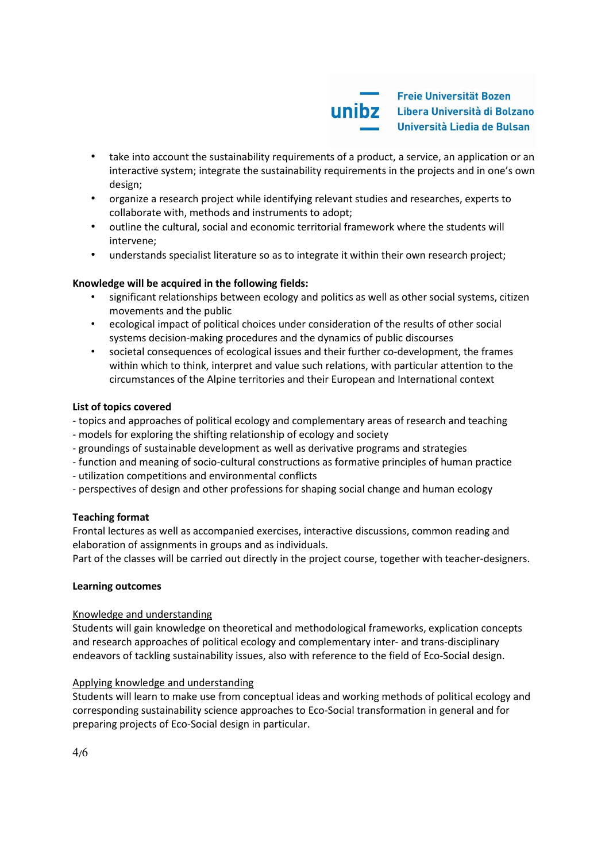

- take into account the sustainability requirements of a product, a service, an application or an interactive system; integrate the sustainability requirements in the projects and in one's own design;
- organize a research project while identifying relevant studies and researches, experts to collaborate with, methods and instruments to adopt;
- outline the cultural, social and economic territorial framework where the students will intervene;
- understands specialist literature so as to integrate it within their own research project;

# **Knowledge will be acquired in the following fields:**

- significant relationships between ecology and politics as well as other social systems, citizen movements and the public
- ecological impact of political choices under consideration of the results of other social systems decision-making procedures and the dynamics of public discourses
- societal consequences of ecological issues and their further co-development, the frames within which to think, interpret and value such relations, with particular attention to the circumstances of the Alpine territories and their European and International context

# **List of topics covered**

- topics and approaches of political ecology and complementary areas of research and teaching
- models for exploring the shifting relationship of ecology and society
- groundings of sustainable development as well as derivative programs and strategies
- function and meaning of socio-cultural constructions as formative principles of human practice
- utilization competitions and environmental conflicts
- perspectives of design and other professions for shaping social change and human ecology

### **Teaching format**

Frontal lectures as well as accompanied exercises, interactive discussions, common reading and elaboration of assignments in groups and as individuals.

Part of the classes will be carried out directly in the project course, together with teacher-designers.

### **Learning outcomes**

### Knowledge and understanding

Students will gain knowledge on theoretical and methodological frameworks, explication concepts and research approaches of political ecology and complementary inter- and trans-disciplinary endeavors of tackling sustainability issues, also with reference to the field of Eco-Social design.

### Applying knowledge and understanding

Students will learn to make use from conceptual ideas and working methods of political ecology and corresponding sustainability science approaches to Eco-Social transformation in general and for preparing projects of Eco-Social design in particular.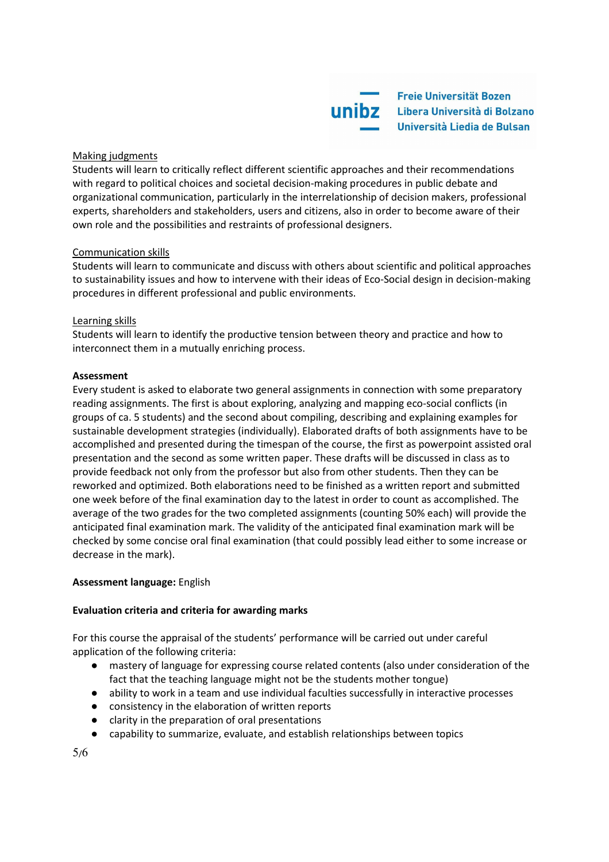

#### Making judgments

Students will learn to critically reflect different scientific approaches and their recommendations with regard to political choices and societal decision-making procedures in public debate and organizational communication, particularly in the interrelationship of decision makers, professional experts, shareholders and stakeholders, users and citizens, also in order to become aware of their own role and the possibilities and restraints of professional designers.

#### Communication skills

Students will learn to communicate and discuss with others about scientific and political approaches to sustainability issues and how to intervene with their ideas of Eco-Social design in decision-making procedures in different professional and public environments.

#### Learning skills

Students will learn to identify the productive tension between theory and practice and how to interconnect them in a mutually enriching process.

#### **Assessment**

Every student is asked to elaborate two general assignments in connection with some preparatory reading assignments. The first is about exploring, analyzing and mapping eco-social conflicts (in groups of ca. 5 students) and the second about compiling, describing and explaining examples for sustainable development strategies (individually). Elaborated drafts of both assignments have to be accomplished and presented during the timespan of the course, the first as powerpoint assisted oral presentation and the second as some written paper. These drafts will be discussed in class as to provide feedback not only from the professor but also from other students. Then they can be reworked and optimized. Both elaborations need to be finished as a written report and submitted one week before of the final examination day to the latest in order to count as accomplished. The average of the two grades for the two completed assignments (counting 50% each) will provide the anticipated final examination mark. The validity of the anticipated final examination mark will be checked by some concise oral final examination (that could possibly lead either to some increase or decrease in the mark).

#### **Assessment language:** English

#### **Evaluation criteria and criteria for awarding marks**

For this course the appraisal of the students' performance will be carried out under careful application of the following criteria:

- mastery of language for expressing course related contents (also under consideration of the fact that the teaching language might not be the students mother tongue)
- ability to work in a team and use individual faculties successfully in interactive processes
- consistency in the elaboration of written reports
- clarity in the preparation of oral presentations
- capability to summarize, evaluate, and establish relationships between topics